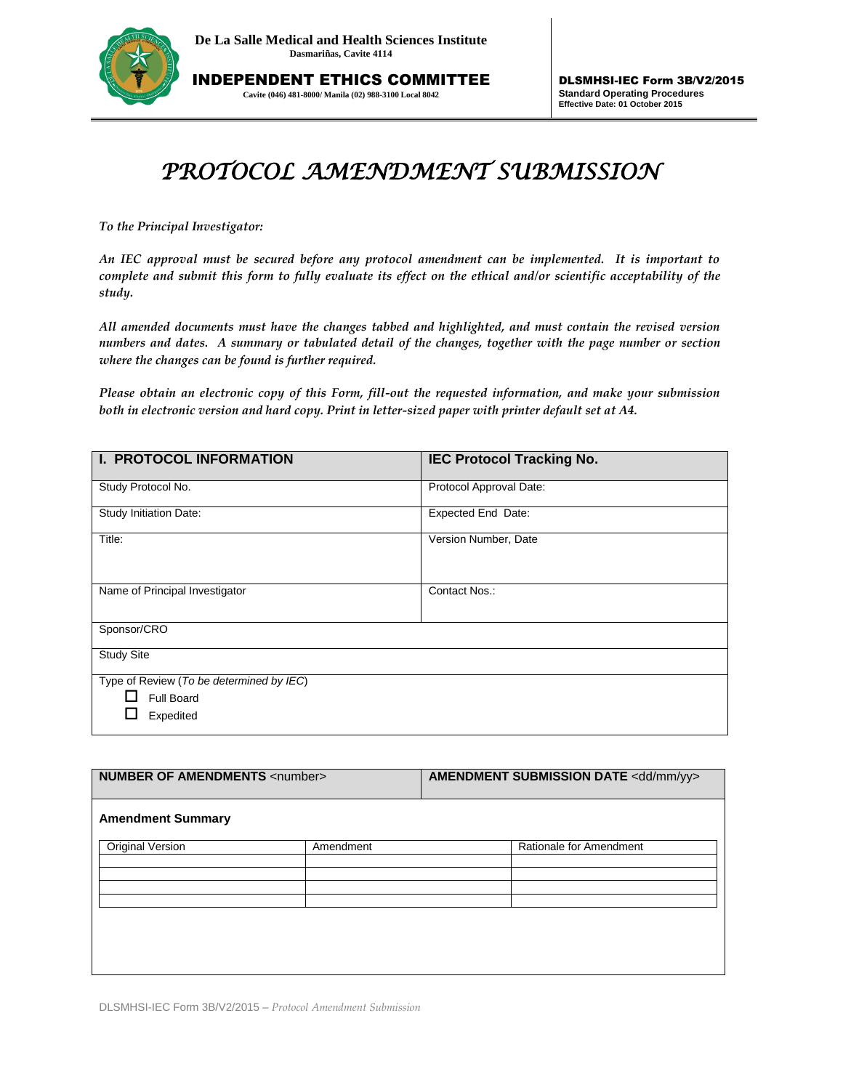

INDEPENDENT ETHICS COMMITTEE **Cavite (046) 481-8000/ Manila (02) 988-3100 Local 8042**

## *PROTOCOL AMENDMENT SUBMISSION*

*To the Principal Investigator:* 

*An IEC approval must be secured before any protocol amendment can be implemented. It is important to complete and submit this form to fully evaluate its effect on the ethical and/or scientific acceptability of the study.*

*All amended documents must have the changes tabbed and highlighted, and must contain the revised version numbers and dates. A summary or tabulated detail of the changes, together with the page number or section where the changes can be found is further required.* 

*Please obtain an electronic copy of this Form, fill-out the requested information, and make your submission both in electronic version and hard copy. Print in letter-sized paper with printer default set at A4.*

| <b>I. PROTOCOL INFORMATION</b>           | <b>IEC Protocol Tracking No.</b> |  |
|------------------------------------------|----------------------------------|--|
| Study Protocol No.                       | Protocol Approval Date:          |  |
| Study Initiation Date:                   | Expected End Date:               |  |
| Title:                                   | Version Number, Date             |  |
| Name of Principal Investigator           | Contact Nos.:                    |  |
| Sponsor/CRO                              |                                  |  |
| <b>Study Site</b>                        |                                  |  |
| Type of Review (To be determined by IEC) |                                  |  |
| Full Board                               |                                  |  |
| Expedited                                |                                  |  |

| <b>NUMBER OF AMENDMENTS <number></number></b> |           | <b>AMENDMENT SUBMISSION DATE <dd mm="" yy=""></dd></b> |  |
|-----------------------------------------------|-----------|--------------------------------------------------------|--|
| <b>Amendment Summary</b>                      |           |                                                        |  |
| Original Version                              | Amendment | Rationale for Amendment                                |  |

DLSMHSI-IEC Form 3B/V2/2015 – *Protocol Amendment Submission*